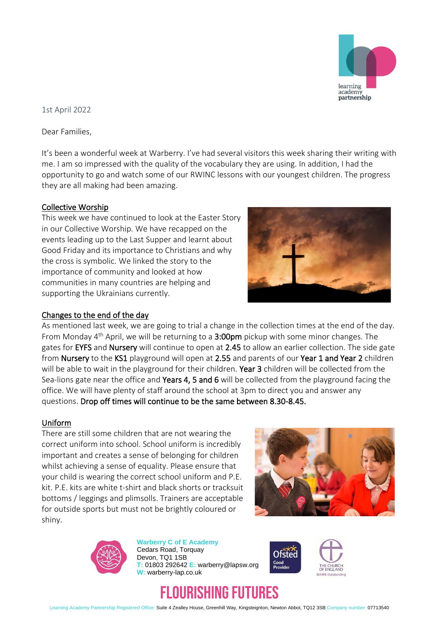

## 1st April 2022

Dear Families,

It's been a wonderful week at Warberry. I've had several visitors this week sharing their writing with me. I am so impressed with the quality of the vocabulary they are using. In addition, I had the opportunity to go and watch some of our RWINC lessons with our youngest children. The progress they are all making had been amazing.

#### Collective Worship

This week we have continued to look at the Easter Story in our Collective Worship. We have recapped on the events leading up to the Last Supper and learnt about Good Friday and its importance to Christians and why the cross is symbolic. We linked the story to the importance of community and looked at how communities in many countries are helping and supporting the Ukrainians currently.



#### Changes to the end of the day

As mentioned last week, we are going to trial a change in the collection times at the end of the day. From Monday 4<sup>th</sup> April, we will be returning to a 3:00pm pickup with some minor changes. The gates for EYFS and Nursery will continue to open at 2.45 to allow an earlier collection. The side gate from Nursery to the KS1 playground will open at 2.55 and parents of our Year 1 and Year 2 children will be able to wait in the playground for their children. Year 3 children will be collected from the Sea-lions gate near the office and Years 4, 5 and 6 will be collected from the playground facing the office. We will have plenty of staff around the school at 3pm to direct you and answer any questions. Drop off times will continue to be the same between 8.30-8.45.

#### Uniform

There are still some children that are not wearing the correct uniform into school. School uniform is incredibly important and creates a sense of belonging for children whilst achieving a sense of equality. Please ensure that your child is wearing the correct school uniform and P.E. kit. P.E. kits are white t-shirt and black shorts or tracksuit bottoms / leggings and plimsolls. Trainers are acceptable for outside sports but must not be brightly coloured or shiny.





**Warberry C of E Academy** Cedars Road, Torquay Devon, TQ1 1SB **T:** 01803 292642 **E:** warberry@lapsw.org **W:** warberry-lap.co.uk



# IURISHING FUTURES

Learning Academy Partnership Registered Office: Suite 4 Zealley House, Greenhill Way, Kingsteignton, Newton Abbot, TQ12 3SB Company number: 07713540